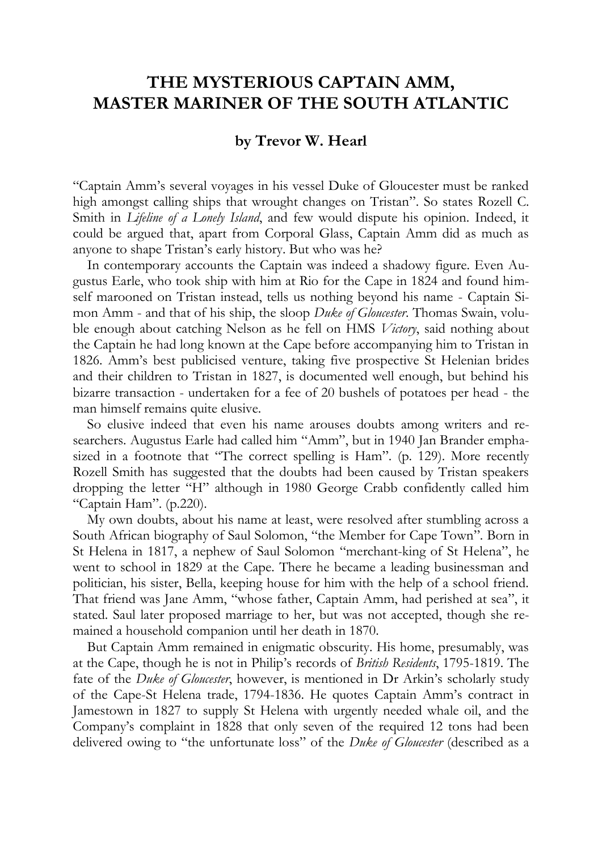## **THE MYSTERIOUS CAPTAIN AMM, MASTER MARINER OF THE SOUTH ATLANTIC**

## **by Trevor W. Hearl**

"Captain Amm's several voyages in his vessel Duke of Gloucester must be ranked high amongst calling ships that wrought changes on Tristan". So states Rozell C. Smith in *Lifeline of a Lonely Island*, and few would dispute his opinion. Indeed, it could be argued that, apart from Corporal Glass, Captain Amm did as much as anyone to shape Tristan's early history. But who was he?

In contemporary accounts the Captain was indeed a shadowy figure. Even Augustus Earle, who took ship with him at Rio for the Cape in 1824 and found himself marooned on Tristan instead, tells us nothing beyond his name - Captain Simon Amm - and that of his ship, the sloop *Duke of Gloucester*. Thomas Swain, voluble enough about catching Nelson as he fell on HMS *Victory*, said nothing about the Captain he had long known at the Cape before accompanying him to Tristan in 1826. Amm's best publicised venture, taking five prospective St Helenian brides and their children to Tristan in 1827, is documented well enough, but behind his bizarre transaction - undertaken for a fee of 20 bushels of potatoes per head - the man himself remains quite elusive.

So elusive indeed that even his name arouses doubts among writers and researchers. Augustus Earle had called him "Amm", but in 1940 Jan Brander emphasized in a footnote that "The correct spelling is Ham". (p. 129). More recently Rozell Smith has suggested that the doubts had been caused by Tristan speakers dropping the letter "H" although in 1980 George Crabb confidently called him "Captain Ham". (p.220).

My own doubts, about his name at least, were resolved after stumbling across a South African biography of Saul Solomon, "the Member for Cape Town". Born in St Helena in 1817, a nephew of Saul Solomon "merchant-king of St Helena", he went to school in 1829 at the Cape. There he became a leading businessman and politician, his sister, Bella, keeping house for him with the help of a school friend. That friend was Jane Amm, "whose father, Captain Amm, had perished at sea", it stated. Saul later proposed marriage to her, but was not accepted, though she remained a household companion until her death in 1870.

But Captain Amm remained in enigmatic obscurity. His home, presumably, was at the Cape, though he is not in Philip's records of *British Residents*, 1795-1819. The fate of the *Duke of Gloucester*, however, is mentioned in Dr Arkin's scholarly study of the Cape-St Helena trade, 1794-1836. He quotes Captain Amm's contract in Jamestown in 1827 to supply St Helena with urgently needed whale oil, and the Company's complaint in 1828 that only seven of the required 12 tons had been delivered owing to "the unfortunate loss" of the *Duke of Gloucester* (described as a